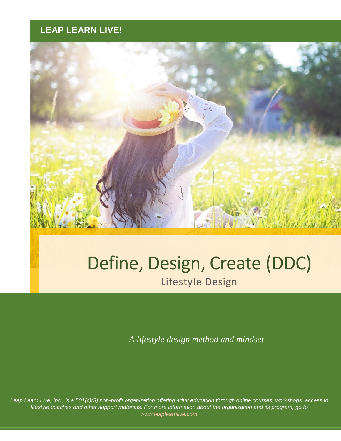## **LEAP LEARN LIVE!**



# Define, Design, Create (DDC) Lifestyle Design

*A lifestyle design method and mindset*

©2019 Stacey Y. Cl[ark. For Leap Learn Live, In](http://www.leaplearnlive.com/)c. All rights reserved. *Leap Learn Live, Inc., is a 501(c)(3) non-profit organization offering adult education through online courses, workshops, access to lifestyle coaches and other support materials. For more information about the organization and its program, go to www.leaplearnlive.com.*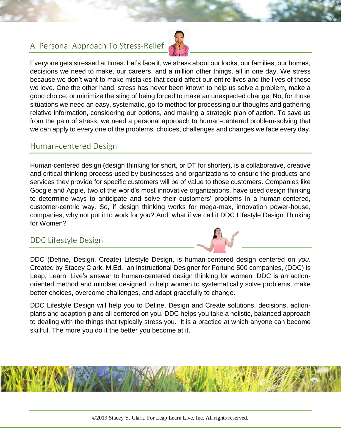## A Personal Approach To Stress-Relief



Everyone gets stressed at times. Let's face it, we stress about our looks, our families, our homes, decisions we need to make, our careers, and a million other things, all in one day. We stress because we don't want to make mistakes that could affect our entire lives and the lives of those we love. One the other hand, stress has never been known to help us solve a problem, make a good choice, or minimize the sting of being forced to make an unexpected change. No, for those situations we need an easy, systematic, go-to method for processing our thoughts and gathering relative information, considering our options, and making a strategic plan of action. To save us from the pain of stress, we need a personal approach to human-centered problem-solving that we can apply to every one of the problems, choices, challenges and changes we face every day.

#### Human-centered Design

Human-centered design (design thinking for short, or DT for shorter), is a collaborative, creative and critical thinking process used by businesses and organizations to ensure the products and services they provide for specific customers will be of value to those customers. Companies like Google and Apple, two of the world's most innovative organizations, have used design thinking to determine ways to anticipate and solve their customers' problems in a human-centered, customer-centric way. So, if design thinking works for mega-max, innovation power-house, companies, why not put it to work for you? And, what if we call it DDC Lifestyle Design Thinking for Women?

#### DDC Lifestyle Design



DDC (Define, Design, Create) Lifestyle Design, is human-centered design centered on *you*. Created by Stacey Clark, M.Ed., an Instructional Designer for Fortune 500 companies, (DDC) is Leap, Learn, Live's answer to human-centered design thinking for women. DDC is an actionoriented method and mindset designed to help women to systematically solve problems, make better choices, overcome challenges, and adapt gracefully to change.

DDC Lifestyle Design will help you to Define, Design and Create solutions, decisions, actionplans and adaption plans all centered on you. DDC helps you take a holistic, balanced approach to dealing with the things that typically stress you. It is a practice at which anyone can become skillful. The more you do it the better you become at it.

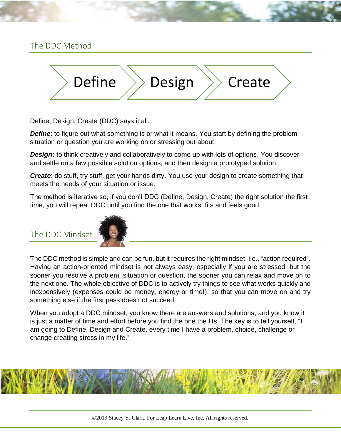## The DDC Method



Define, Design, Create (DDC) says it all.

**Define**: to figure out what something is or what it means. You start by defining the problem, situation or question you are working on or stressing out about.

**Design:** to think creatively and collaboratively to come up with lots of options. You discover and settle on a few possible solution options, and then design a prototyped solution.

*Create*: do stuff, try stuff, get your hands dirty. You use your design to create something that meets the needs of your situation or issue.

The method is iterative so, if you don't DDC (Define, Design, Create) the right solution the first time, you will repeat DDC until you find the one that works, fits and feels good.

The DDC Mindset



The DDC method is simple and can be fun, but it requires the right mindset, i.e., "action required". Having an action-oriented mindset is not always easy, especially if you are stressed, but the sooner you resolve a problem, situation or question, the sooner you can relax and move on to the next one. The whole objective of DDC is to actively try things to see what works quickly and inexpensively (expenses could be money, energy or time!), so that you can move on and try something else if the first pass does not succeed.

When you adopt a DDC mindset, you know there are answers and solutions, and you know it is just a matter of time and effort before you find the one the fits. The key is to tell yourself, "I am going to Define, Design and Create, every time I have a problem, choice, challenge or change creating stress in my life."

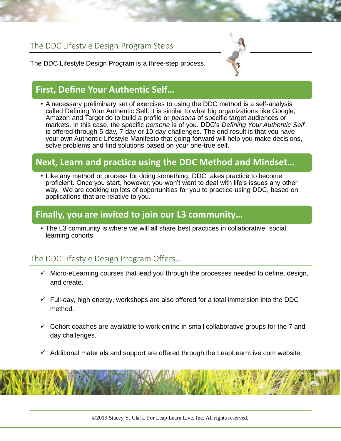## The DDC Lifestyle Design Program Steps



The DDC Lifestyle Design Program is a three-step process.

# **First, Define Your Authentic Self…**

• A necessary preliminary set of exercises to using the DDC method is a self-analysis called Defining Your Authentic Self. It is similar to what big organizations like Google, Amazon and Target do to build a profile or *persona* of specific target audiences or markets. In this case, the specific *persona* is of you. DDC's *Defining Your Authentic Self* is offered through 5-day, 7-day or 10-day challenges. The end result is that you have your own Authentic Lifestyle Manifesto that going forward will help you make decisions, solve problems and find solutions based on your one-true self.

# **Next, Learn and practice using the DDC Method and Mindset…**

• Like any method or process for doing something, DDC takes practice to become proficient. Once you start, however, you won't want to deal with life's issues any other way. We are cooking up lots of opportunities for you to practice using DDC, based on applications that are relative to you.

# **Finally, you are invited to join our L3 community…**

• The L3 community is where we will all share best practices in collaborative, social learning cohorts.

## The DDC Lifestyle Design Program Offers…

- $\checkmark$  Micro-eLearning courses that lead you through the processes needed to define, design, and create.
- $\checkmark$  Full-day, high energy, workshops are also offered for a total immersion into the DDC method.
- $\checkmark$  Cohort coaches are available to work online in small collaborative groups for the 7 and day challenges**.**
- $\checkmark$  Additional materials and support are offered through the LeapLearnLive.com website.